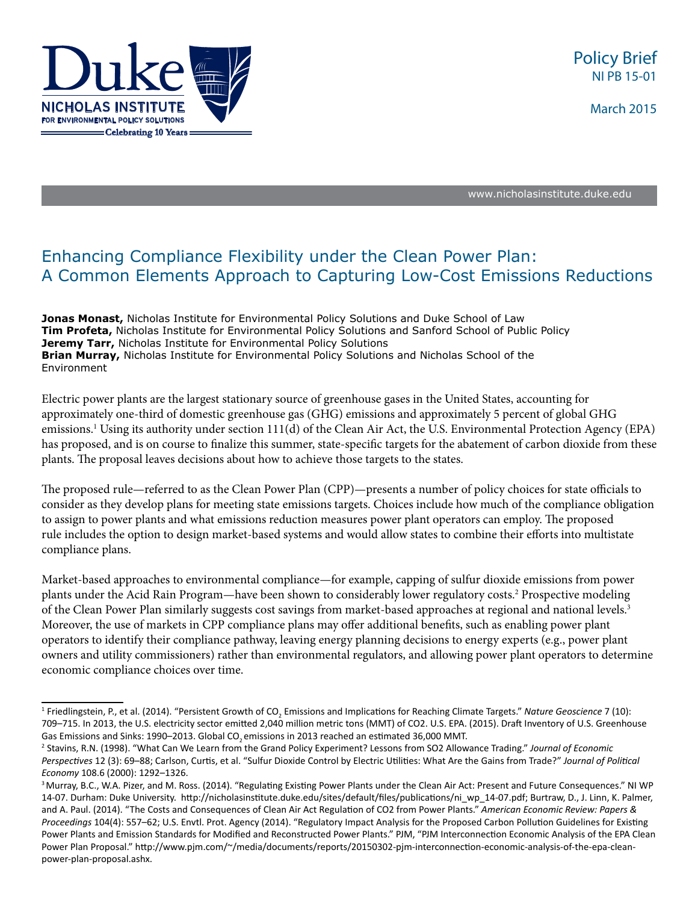

March 2015

[www.nicholasinstitute.duke.edu](http://www.nicholasinstitute.duke.edu) 

# Enhancing Compliance Flexibility under the Clean Power Plan: A Common Elements Approach to Capturing Low-Cost Emissions Reductions

**Jonas Monast,** Nicholas Institute for Environmental Policy Solutions and Duke School of Law **Tim Profeta,** Nicholas Institute for Environmental Policy Solutions and Sanford School of Public Policy **Jeremy Tarr,** Nicholas Institute for Environmental Policy Solutions **Brian Murray,** Nicholas Institute for Environmental Policy Solutions and Nicholas School of the Environment

Electric power plants are the largest stationary source of greenhouse gases in the United States, accounting for approximately one-third of domestic greenhouse gas (GHG) emissions and approximately 5 percent of global GHG emissions.1 Using its authority under section 111(d) of the Clean Air Act, the U.S. Environmental Protection Agency (EPA) has proposed, and is on course to finalize this summer, state-specific targets for the abatement of carbon dioxide from these plants. The proposal leaves decisions about how to achieve those targets to the states.

The proposed rule—referred to as the Clean Power Plan (CPP)—presents a number of policy choices for state officials to consider as they develop plans for meeting state emissions targets. Choices include how much of the compliance obligation to assign to power plants and what emissions reduction measures power plant operators can employ. The proposed rule includes the option to design market-based systems and would allow states to combine their efforts into multistate compliance plans.

Market-based approaches to environmental compliance—for example, capping of sulfur dioxide emissions from power plants under the Acid Rain Program—have been shown to considerably lower regulatory costs.<sup>2</sup> Prospective modeling of the Clean Power Plan similarly suggests cost savings from market-based approaches at regional and national levels.3 Moreover, the use of markets in CPP compliance plans may offer additional benefits, such as enabling power plant operators to identify their compliance pathway, leaving energy planning decisions to energy experts (e.g., power plant owners and utility commissioners) rather than environmental regulators, and allowing power plant operators to determine economic compliance choices over time.

<sup>&</sup>lt;sup>1</sup> Friedlingstein, P., et al. (2014). "Persistent Growth of CO<sub>2</sub> Emissions and Implications for Reaching Climate Targets." Nature Geoscience 7 (10): 709–715. In 2013, the U.S. electricity sector emitted 2,040 million metric tons (MMT) of CO2. U.S. EPA. (2015). Draft Inventory of U.S. Greenhouse Gas Emissions and Sinks: 1990-2013. Global CO<sub>2</sub> emissions in 2013 reached an estimated 36,000 MMT.

<sup>&</sup>lt;sup>2</sup> Stavins, R.N. (1998). "What Can We Learn from the Grand Policy Experiment? Lessons from SO2 Allowance Trading." *Journal of Economic Perspectives* 12 (3): 69–88; Carlson, Curtis, et al. "Sulfur Dioxide Control by Electric Utilities: What Are the Gains from Trade?" *Journal of Political Economy* 108.6 (2000): 1292–1326.

<sup>&</sup>lt;sup>3</sup> Murray, B.C., W.A. Pizer, and M. Ross. (2014). "Regulating Existing Power Plants under the Clean Air Act: Present and Future Consequences." NI WP 14-07. Durham: Duke University. http://nicholasinstitute.duke.edu/sites/default/files/publications/ni\_wp\_14-07.pdf; Burtraw, D., J. Linn, K. Palmer, and A. Paul. (2014). "The Costs and Consequences of Clean Air Act Regulation of CO2 from Power Plants." *American Economic Review: Papers & Proceedings* 104(4): 557–62; U.S. Envtl. Prot. Agency (2014). "Regulatory Impact Analysis for the Proposed Carbon Pollution Guidelines for Existing Power Plants and Emission Standards for Modified and Reconstructed Power Plants." PJM, "PJM Interconnection Economic Analysis of the EPA Clean Power Plan Proposal." http://www.pjm.com/~/media/documents/reports/20150302-pjm-interconnection-economic-analysis-of-the-epa-cleanpower-plan-proposal.ashx.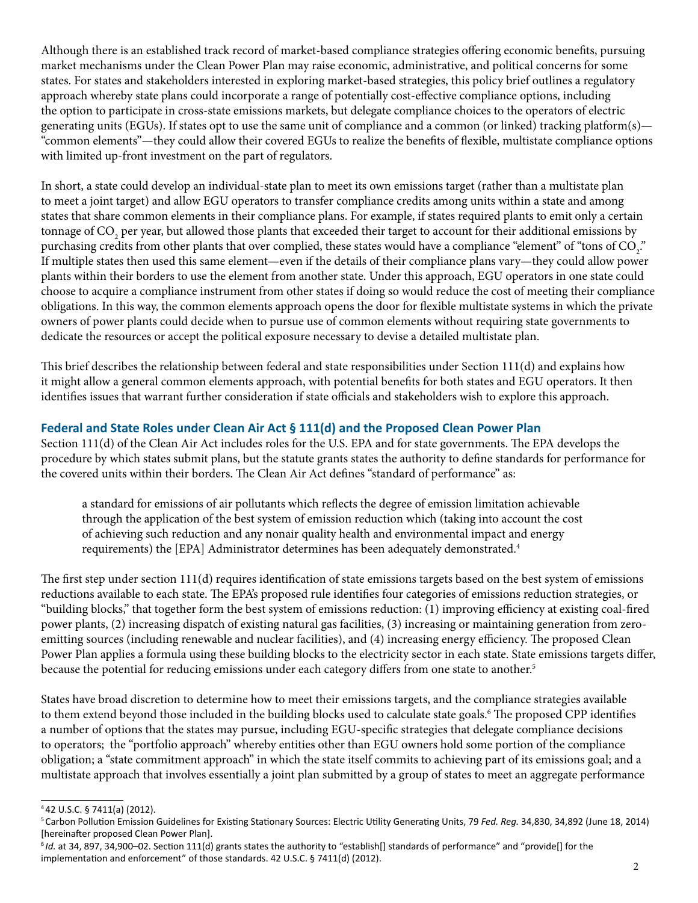Although there is an established track record of market-based compliance strategies offering economic benefits, pursuing market mechanisms under the Clean Power Plan may raise economic, administrative, and political concerns for some states. For states and stakeholders interested in exploring market-based strategies, this policy brief outlines a regulatory approach whereby state plans could incorporate a range of potentially cost-effective compliance options, including the option to participate in cross-state emissions markets, but delegate compliance choices to the operators of electric generating units (EGUs). If states opt to use the same unit of compliance and a common (or linked) tracking platform(s)— "common elements"—they could allow their covered EGUs to realize the benefits of flexible, multistate compliance options with limited up-front investment on the part of regulators.

In short, a state could develop an individual-state plan to meet its own emissions target (rather than a multistate plan to meet a joint target) and allow EGU operators to transfer compliance credits among units within a state and among states that share common elements in their compliance plans. For example, if states required plants to emit only a certain tonnage of CO<sub>2</sub> per year, but allowed those plants that exceeded their target to account for their additional emissions by purchasing credits from other plants that over complied, these states would have a compliance "element" of "tons of CO<sub>2</sub>." If multiple states then used this same element—even if the details of their compliance plans vary—they could allow power plants within their borders to use the element from another state. Under this approach, EGU operators in one state could choose to acquire a compliance instrument from other states if doing so would reduce the cost of meeting their compliance obligations. In this way, the common elements approach opens the door for flexible multistate systems in which the private owners of power plants could decide when to pursue use of common elements without requiring state governments to dedicate the resources or accept the political exposure necessary to devise a detailed multistate plan.

This brief describes the relationship between federal and state responsibilities under Section 111(d) and explains how it might allow a general common elements approach, with potential benefits for both states and EGU operators. It then identifies issues that warrant further consideration if state officials and stakeholders wish to explore this approach.

# **Federal and State Roles under Clean Air Act § 111(d) and the Proposed Clean Power Plan**

Section 111(d) of the Clean Air Act includes roles for the U.S. EPA and for state governments. The EPA develops the procedure by which states submit plans, but the statute grants states the authority to define standards for performance for the covered units within their borders. The Clean Air Act defines "standard of performance" as:

a standard for emissions of air pollutants which reflects the degree of emission limitation achievable through the application of the best system of emission reduction which (taking into account the cost of achieving such reduction and any nonair quality health and environmental impact and energy requirements) the [EPA] Administrator determines has been adequately demonstrated.4

The first step under section 111(d) requires identification of state emissions targets based on the best system of emissions reductions available to each state. The EPA's proposed rule identifies four categories of emissions reduction strategies, or "building blocks," that together form the best system of emissions reduction: (1) improving efficiency at existing coal-fired power plants, (2) increasing dispatch of existing natural gas facilities, (3) increasing or maintaining generation from zeroemitting sources (including renewable and nuclear facilities), and (4) increasing energy efficiency. The proposed Clean Power Plan applies a formula using these building blocks to the electricity sector in each state. State emissions targets differ, because the potential for reducing emissions under each category differs from one state to another.<sup>5</sup>

States have broad discretion to determine how to meet their emissions targets, and the compliance strategies available to them extend beyond those included in the building blocks used to calculate state goals.6 The proposed CPP identifies a number of options that the states may pursue, including EGU-specific strategies that delegate compliance decisions to operators; the "portfolio approach" whereby entities other than EGU owners hold some portion of the compliance obligation; a "state commitment approach" in which the state itself commits to achieving part of its emissions goal; and a multistate approach that involves essentially a joint plan submitted by a group of states to meet an aggregate performance

<sup>4 42</sup> U.S.C. § 7411(a) (2012).

<sup>5</sup>Carbon Pollution Emission Guidelines for Existing Stationary Sources: Electric Utility Generating Units, 79 *Fed. Reg.* 34,830, 34,892 (June 18, 2014) [hereinafter proposed Clean Power Plan].

<sup>6</sup>*Id.* at 34, 897, 34,900–02. Section 111(d) grants states the authority to "establish[] standards of performance" and "provide[] for the implementation and enforcement" of those standards. 42 U.S.C. § 7411(d) (2012).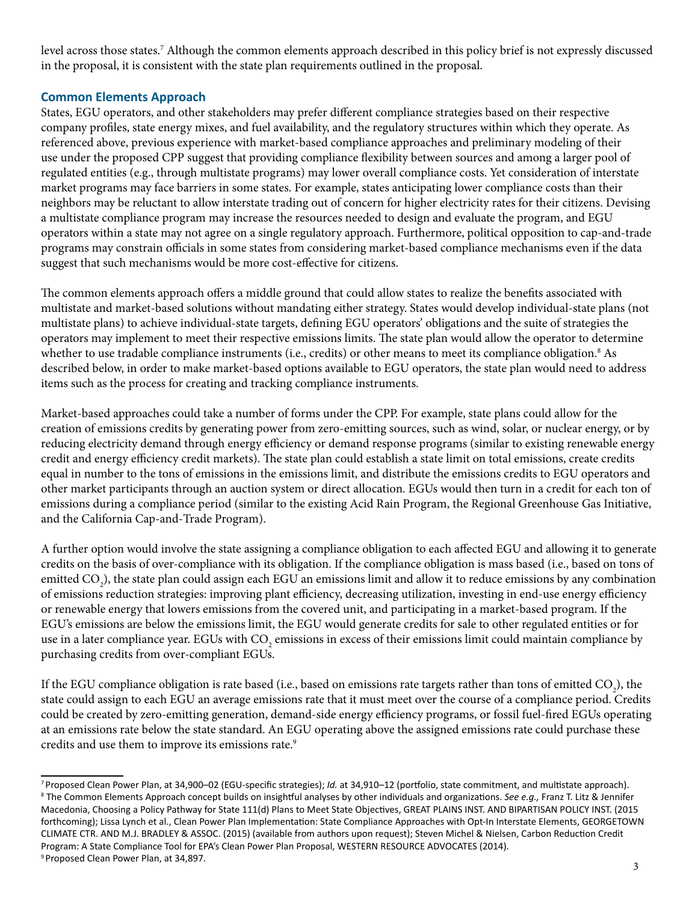level across those states.7 Although the common elements approach described in this policy brief is not expressly discussed in the proposal, it is consistent with the state plan requirements outlined in the proposal.

# **Common Elements Approach**

States, EGU operators, and other stakeholders may prefer different compliance strategies based on their respective company profiles, state energy mixes, and fuel availability, and the regulatory structures within which they operate. As referenced above, previous experience with market-based compliance approaches and preliminary modeling of their use under the proposed CPP suggest that providing compliance flexibility between sources and among a larger pool of regulated entities (e.g., through multistate programs) may lower overall compliance costs. Yet consideration of interstate market programs may face barriers in some states. For example, states anticipating lower compliance costs than their neighbors may be reluctant to allow interstate trading out of concern for higher electricity rates for their citizens. Devising a multistate compliance program may increase the resources needed to design and evaluate the program, and EGU operators within a state may not agree on a single regulatory approach. Furthermore, political opposition to cap-and-trade programs may constrain officials in some states from considering market-based compliance mechanisms even if the data suggest that such mechanisms would be more cost-effective for citizens.

The common elements approach offers a middle ground that could allow states to realize the benefits associated with multistate and market-based solutions without mandating either strategy. States would develop individual-state plans (not multistate plans) to achieve individual-state targets, defining EGU operators' obligations and the suite of strategies the operators may implement to meet their respective emissions limits. The state plan would allow the operator to determine whether to use tradable compliance instruments (i.e., credits) or other means to meet its compliance obligation.<sup>8</sup> As described below, in order to make market-based options available to EGU operators, the state plan would need to address items such as the process for creating and tracking compliance instruments.

Market-based approaches could take a number of forms under the CPP. For example, state plans could allow for the creation of emissions credits by generating power from zero-emitting sources, such as wind, solar, or nuclear energy, or by reducing electricity demand through energy efficiency or demand response programs (similar to existing renewable energy credit and energy efficiency credit markets). The state plan could establish a state limit on total emissions, create credits equal in number to the tons of emissions in the emissions limit, and distribute the emissions credits to EGU operators and other market participants through an auction system or direct allocation. EGUs would then turn in a credit for each ton of emissions during a compliance period (similar to the existing Acid Rain Program, the Regional Greenhouse Gas Initiative, and the California Cap-and-Trade Program).

A further option would involve the state assigning a compliance obligation to each affected EGU and allowing it to generate credits on the basis of over-compliance with its obligation. If the compliance obligation is mass based (i.e., based on tons of emitted CO<sub>2</sub>), the state plan could assign each EGU an emissions limit and allow it to reduce emissions by any combination of emissions reduction strategies: improving plant efficiency, decreasing utilization, investing in end-use energy efficiency or renewable energy that lowers emissions from the covered unit, and participating in a market-based program. If the EGU's emissions are below the emissions limit, the EGU would generate credits for sale to other regulated entities or for use in a later compliance year. EGUs with  $\rm CO_2$  emissions in excess of their emissions limit could maintain compliance by purchasing credits from over-compliant EGUs.

If the EGU compliance obligation is rate based (i.e., based on emissions rate targets rather than tons of emitted CO<sub>2</sub>), the state could assign to each EGU an average emissions rate that it must meet over the course of a compliance period. Credits could be created by zero-emitting generation, demand-side energy efficiency programs, or fossil fuel-fired EGUs operating at an emissions rate below the state standard. An EGU operating above the assigned emissions rate could purchase these credits and use them to improve its emissions rate.<sup>9</sup>

<sup>7</sup>Proposed Clean Power Plan, at 34,900–02 (EGU-specific strategies); *Id.* at 34,910–12 (portfolio, state commitment, and multistate approach). 8 The Common Elements Approach concept builds on insightful analyses by other individuals and organizations. *See e.g.,* Franz T. Litz & Jennifer Macedonia, Choosing a Policy Pathway for State 111(d) Plans to Meet State Objectives, GREAT PLAINS INST. AND BIPARTISAN POLICY INST. (2015 forthcoming); Lissa Lynch et al., Clean Power Plan Implementation: State Compliance Approaches with Opt-In Interstate Elements, GEORGETOWN CLIMATE CTR. AND M.J. BRADLEY & ASSOC. (2015) (available from authors upon request); Steven Michel & Nielsen, Carbon Reduction Credit Program: A State Compliance Tool for EPA's Clean Power Plan Proposal, WESTERN RESOURCE ADVOCATES (2014). Proposed Clean Power Plan, at 34,897.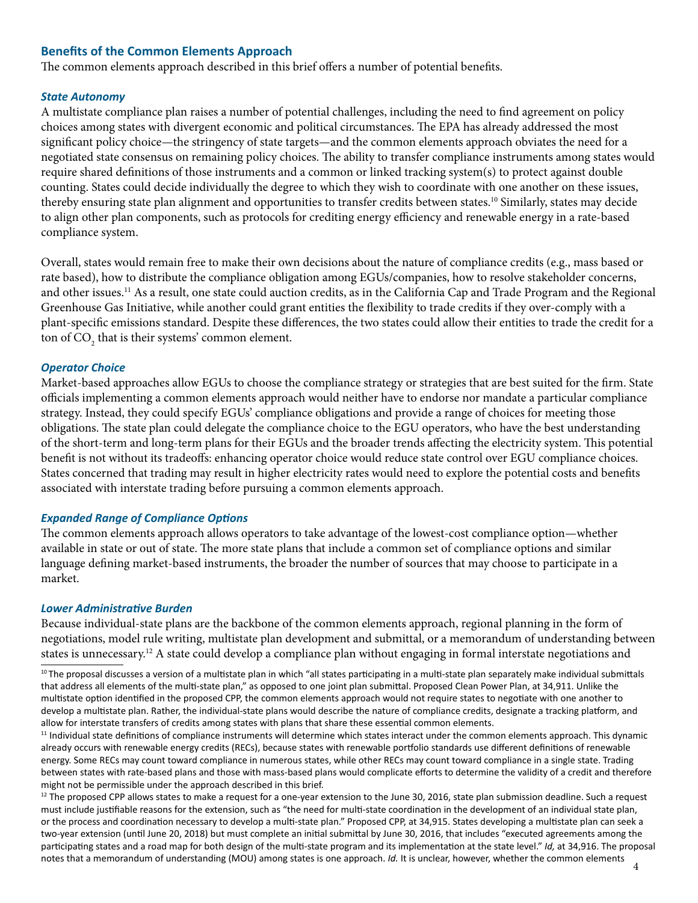## **Benefits of the Common Elements Approach**

The common elements approach described in this brief offers a number of potential benefits.

#### *State Autonomy*

A multistate compliance plan raises a number of potential challenges, including the need to find agreement on policy choices among states with divergent economic and political circumstances. The EPA has already addressed the most significant policy choice—the stringency of state targets—and the common elements approach obviates the need for a negotiated state consensus on remaining policy choices. The ability to transfer compliance instruments among states would require shared definitions of those instruments and a common or linked tracking system(s) to protect against double counting. States could decide individually the degree to which they wish to coordinate with one another on these issues, thereby ensuring state plan alignment and opportunities to transfer credits between states.<sup>10</sup> Similarly, states may decide to align other plan components, such as protocols for crediting energy efficiency and renewable energy in a rate-based compliance system.

Overall, states would remain free to make their own decisions about the nature of compliance credits (e.g., mass based or rate based), how to distribute the compliance obligation among EGUs/companies, how to resolve stakeholder concerns, and other issues.<sup>11</sup> As a result, one state could auction credits, as in the California Cap and Trade Program and the Regional Greenhouse Gas Initiative, while another could grant entities the flexibility to trade credits if they over-comply with a plant-specific emissions standard. Despite these differences, the two states could allow their entities to trade the credit for a ton of  $\mathrm{CO}_2^{}$  that is their systems' common element.

## *Operator Choice*

Market-based approaches allow EGUs to choose the compliance strategy or strategies that are best suited for the firm. State officials implementing a common elements approach would neither have to endorse nor mandate a particular compliance strategy. Instead, they could specify EGUs' compliance obligations and provide a range of choices for meeting those obligations. The state plan could delegate the compliance choice to the EGU operators, who have the best understanding of the short-term and long-term plans for their EGUs and the broader trends affecting the electricity system. This potential benefit is not without its tradeoffs: enhancing operator choice would reduce state control over EGU compliance choices. States concerned that trading may result in higher electricity rates would need to explore the potential costs and benefits associated with interstate trading before pursuing a common elements approach.

#### *Expanded Range of Compliance Options*

The common elements approach allows operators to take advantage of the lowest-cost compliance option—whether available in state or out of state. The more state plans that include a common set of compliance options and similar language defining market-based instruments, the broader the number of sources that may choose to participate in a market.

#### *Lower Administrative Burden*

Because individual-state plans are the backbone of the common elements approach, regional planning in the form of negotiations, model rule writing, multistate plan development and submittal, or a memorandum of understanding between states is unnecessary.12 A state could develop a compliance plan without engaging in formal interstate negotiations and

<sup>11</sup> Individual state definitions of compliance instruments will determine which states interact under the common elements approach. This dynamic already occurs with renewable energy credits (RECs), because states with renewable portfolio standards use different definitions of renewable energy. Some RECs may count toward compliance in numerous states, while other RECs may count toward compliance in a single state. Trading between states with rate-based plans and those with mass-based plans would complicate efforts to determine the validity of a credit and therefore might not be permissible under the approach described in this brief.

 $12$  The proposed CPP allows states to make a request for a one-year extension to the June 30, 2016, state plan submission deadline. Such a request must include justifiable reasons for the extension, such as "the need for multi-state coordination in the development of an individual state plan, or the process and coordination necessary to develop a multi-state plan." Proposed CPP, at 34,915. States developing a multistate plan can seek a two-year extension (until June 20, 2018) but must complete an initial submittal by June 30, 2016, that includes "executed agreements among the participating states and a road map for both design of the multi-state program and its implementation at the state level." *Id,* at 34,916. The proposal notes that a memorandum of understanding (MOU) among states is one approach. *Id.* It is unclear, however, whether the common elements 4

<sup>&</sup>lt;sup>10</sup>The proposal discusses a version of a multistate plan in which "all states participating in a multi-state plan separately make individual submittals that address all elements of the multi-state plan," as opposed to one joint plan submittal. Proposed Clean Power Plan, at 34,911. Unlike the multistate option identified in the proposed CPP, the common elements approach would not require states to negotiate with one another to develop a multistate plan. Rather, the individual-state plans would describe the nature of compliance credits, designate a tracking platform, and allow for interstate transfers of credits among states with plans that share these essential common elements.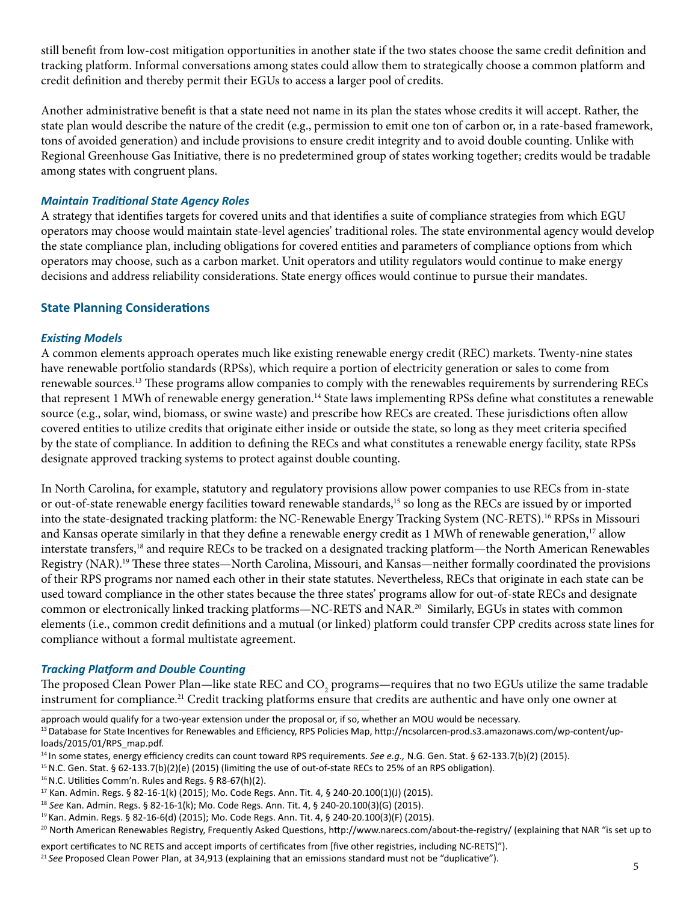still benefit from low-cost mitigation opportunities in another state if the two states choose the same credit definition and tracking platform. Informal conversations among states could allow them to strategically choose a common platform and credit definition and thereby permit their EGUs to access a larger pool of credits.

Another administrative benefit is that a state need not name in its plan the states whose credits it will accept. Rather, the state plan would describe the nature of the credit (e.g., permission to emit one ton of carbon or, in a rate-based framework, tons of avoided generation) and include provisions to ensure credit integrity and to avoid double counting. Unlike with Regional Greenhouse Gas Initiative, there is no predetermined group of states working together; credits would be tradable among states with congruent plans.

## *Maintain Traditional State Agency Roles*

A strategy that identifies targets for covered units and that identifies a suite of compliance strategies from which EGU operators may choose would maintain state-level agencies' traditional roles. The state environmental agency would develop the state compliance plan, including obligations for covered entities and parameters of compliance options from which operators may choose, such as a carbon market. Unit operators and utility regulators would continue to make energy decisions and address reliability considerations. State energy offices would continue to pursue their mandates.

## **State Planning Considerations**

#### *Existing Models*

A common elements approach operates much like existing renewable energy credit (REC) markets. Twenty-nine states have renewable portfolio standards (RPSs), which require a portion of electricity generation or sales to come from renewable sources.13 These programs allow companies to comply with the renewables requirements by surrendering RECs that represent 1 MWh of renewable energy generation.<sup>14</sup> State laws implementing RPSs define what constitutes a renewable source (e.g., solar, wind, biomass, or swine waste) and prescribe how RECs are created. These jurisdictions often allow covered entities to utilize credits that originate either inside or outside the state, so long as they meet criteria specified by the state of compliance. In addition to defining the RECs and what constitutes a renewable energy facility, state RPSs designate approved tracking systems to protect against double counting.

In North Carolina, for example, statutory and regulatory provisions allow power companies to use RECs from in-state or out-of-state renewable energy facilities toward renewable standards,15 so long as the RECs are issued by or imported into the state-designated tracking platform: the NC-Renewable Energy Tracking System (NC-RETS).16 RPSs in Missouri and Kansas operate similarly in that they define a renewable energy credit as 1 MWh of renewable generation,<sup>17</sup> allow interstate transfers,<sup>18</sup> and require RECs to be tracked on a designated tracking platform—the North American Renewables Registry (NAR).19 These three states—North Carolina, Missouri, and Kansas—neither formally coordinated the provisions of their RPS programs nor named each other in their state statutes. Nevertheless, RECs that originate in each state can be used toward compliance in the other states because the three states' programs allow for out-of-state RECs and designate common or electronically linked tracking platforms—NC-RETS and NAR.<sup>20</sup> Similarly, EGUs in states with common elements (i.e., common credit definitions and a mutual (or linked) platform could transfer CPP credits across state lines for compliance without a formal multistate agreement.

#### *Tracking Platform and Double Counting*

The proposed Clean Power Plan—like state REC and CO<sub>2</sub> programs—requires that no two EGUs utilize the same tradable instrument for compliance.<sup>21</sup> Credit tracking platforms ensure that credits are authentic and have only one owner at

approach would qualify for a two-year extension under the proposal or, if so, whether an MOU would be necessary. 13 Database for State Incentives for Renewables and Efficiency, RPS Policies Map, http://ncsolarcen-prod.s3.amazonaws.com/wp-content/uploads/2015/01/RPS\_map.pdf.

- <sup>17</sup> Kan. Admin. Regs. § 82-16-1(k) (2015); Mo. Code Regs. Ann. Tit. 4, § 240-20.100(1)(J) (2015).
- <sup>18</sup> *See* Kan. Admin. Regs. § 82-16-1(k); Mo. Code Regs. Ann. Tit. 4, § 240-20.100(3)(G) (2015).

<sup>14</sup>In some states, energy efficiency credits can count toward RPS requirements. *See e.g.,* N.G. Gen. Stat. § 62-133.7(b)(2) (2015).

<sup>&</sup>lt;sup>15</sup> N.C. Gen. Stat. § 62-133.7(b)(2)(e) (2015) (limiting the use of out-of-state RECs to 25% of an RPS obligation).

<sup>16</sup> N.C. Utilities Comm'n. Rules and Regs. § R8-67(h)(2).

<sup>19</sup>Kan. Admin. Regs. § 82-16-6(d) (2015); Mo. Code Regs. Ann. Tit. 4, § 240-20.100(3)(F) (2015).

<sup>&</sup>lt;sup>20</sup> North American Renewables Registry, Frequently Asked Questions, http://www.narecs.com/about-the-registry/ (explaining that NAR "is set up to

export certificates to NC RETS and accept imports of certificates from [five other registries, including NC-RETS]"). <sup>21</sup> See Proposed Clean Power Plan, at 34,913 (explaining that an emissions standard must not be "duplicative").<br>5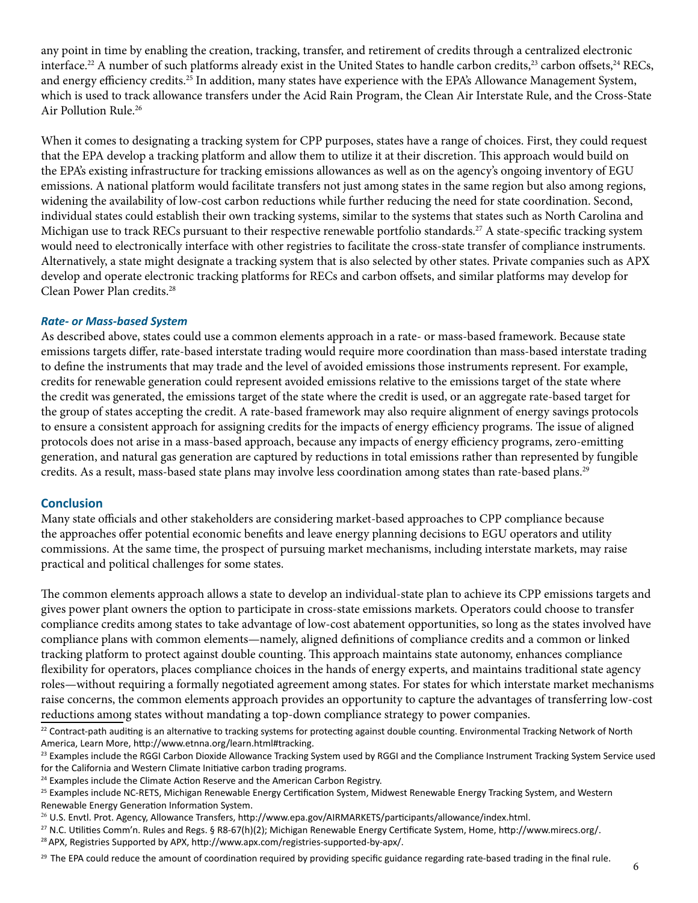any point in time by enabling the creation, tracking, transfer, and retirement of credits through a centralized electronic interface.<sup>22</sup> A number of such platforms already exist in the United States to handle carbon credits,<sup>23</sup> carbon offsets,<sup>24</sup> RECs, and energy efficiency credits.25 In addition, many states have experience with the EPA's Allowance Management System, which is used to track allowance transfers under the Acid Rain Program, the Clean Air Interstate Rule, and the Cross-State Air Pollution Rule.26

When it comes to designating a tracking system for CPP purposes, states have a range of choices. First, they could request that the EPA develop a tracking platform and allow them to utilize it at their discretion. This approach would build on the EPA's existing infrastructure for tracking emissions allowances as well as on the agency's ongoing inventory of EGU emissions. A national platform would facilitate transfers not just among states in the same region but also among regions, widening the availability of low-cost carbon reductions while further reducing the need for state coordination. Second, individual states could establish their own tracking systems, similar to the systems that states such as North Carolina and Michigan use to track RECs pursuant to their respective renewable portfolio standards.27 A state-specific tracking system would need to electronically interface with other registries to facilitate the cross-state transfer of compliance instruments. Alternatively, a state might designate a tracking system that is also selected by other states. Private companies such as APX develop and operate electronic tracking platforms for RECs and carbon offsets, and similar platforms may develop for Clean Power Plan credits.<sup>28</sup>

## *Rate- or Mass-based System*

As described above, states could use a common elements approach in a rate- or mass-based framework. Because state emissions targets differ, rate-based interstate trading would require more coordination than mass-based interstate trading to define the instruments that may trade and the level of avoided emissions those instruments represent. For example, credits for renewable generation could represent avoided emissions relative to the emissions target of the state where the credit was generated, the emissions target of the state where the credit is used, or an aggregate rate-based target for the group of states accepting the credit. A rate-based framework may also require alignment of energy savings protocols to ensure a consistent approach for assigning credits for the impacts of energy efficiency programs. The issue of aligned protocols does not arise in a mass-based approach, because any impacts of energy efficiency programs, zero-emitting generation, and natural gas generation are captured by reductions in total emissions rather than represented by fungible credits. As a result, mass-based state plans may involve less coordination among states than rate-based plans.<sup>29</sup>

## **Conclusion**

Many state officials and other stakeholders are considering market-based approaches to CPP compliance because the approaches offer potential economic benefits and leave energy planning decisions to EGU operators and utility commissions. At the same time, the prospect of pursuing market mechanisms, including interstate markets, may raise practical and political challenges for some states.

The common elements approach allows a state to develop an individual-state plan to achieve its CPP emissions targets and gives power plant owners the option to participate in cross-state emissions markets. Operators could choose to transfer compliance credits among states to take advantage of low-cost abatement opportunities, so long as the states involved have compliance plans with common elements—namely, aligned definitions of compliance credits and a common or linked tracking platform to protect against double counting. This approach maintains state autonomy, enhances compliance flexibility for operators, places compliance choices in the hands of energy experts, and maintains traditional state agency roles—without requiring a formally negotiated agreement among states. For states for which interstate market mechanisms raise concerns, the common elements approach provides an opportunity to capture the advantages of transferring low-cost reductions among states without mandating a top-down compliance strategy to power companies.

<sup>&</sup>lt;sup>22</sup> Contract-path auditing is an alternative to tracking systems for protecting against double counting. Environmental Tracking Network of North America, Learn More, http://www.etnna.org/learn.html#tracking.

<sup>&</sup>lt;sup>23</sup> Examples include the RGGI Carbon Dioxide Allowance Tracking System used by RGGI and the Compliance Instrument Tracking System Service used for the California and Western Climate Initiative carbon trading programs.

<sup>&</sup>lt;sup>24</sup> Examples include the Climate Action Reserve and the American Carbon Registry.

<sup>&</sup>lt;sup>25</sup> Examples include NC-RETS, Michigan Renewable Energy Certification System, Midwest Renewable Energy Tracking System, and Western Renewable Energy Generation Information System.

<sup>26</sup> U.S. Envtl. Prot. Agency, Allowance Transfers, http://www.epa.gov/AIRMARKETS/participants/allowance/index.html.

<sup>27</sup> N.C. Utilities Comm'n. Rules and Regs. § R8-67(h)(2); Michigan Renewable Energy Certificate System, Home, http://www.mirecs.org/.

<sup>28</sup> APX, Registries Supported by APX, http://www.apx.com/registries-supported-by-apx/.

<sup>&</sup>lt;sup>29</sup> The EPA could reduce the amount of coordination required by providing specific guidance regarding rate-based trading in the final rule.  $6$